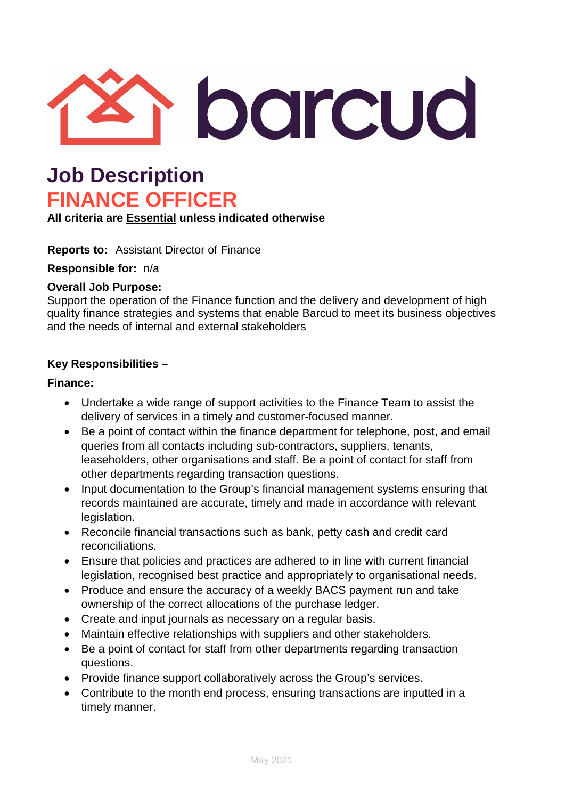

## **Job Description FINANCE OFFICER**

**All criteria are Essential unless indicated otherwise**

**Reports to:** Assistant Director of Finance

**Responsible for:** n/a

## **Overall Job Purpose:**

Support the operation of the Finance function and the delivery and development of high quality finance strategies and systems that enable Barcud to meet its business objectives and the needs of internal and external stakeholders

## **Key Responsibilities –**

#### **Finance:**

- Undertake a wide range of support activities to the Finance Team to assist the delivery of services in a timely and customer-focused manner.
- Be a point of contact within the finance department for telephone, post, and email queries from all contacts including sub-contractors, suppliers, tenants, leaseholders, other organisations and staff. Be a point of contact for staff from other departments regarding transaction questions.
- Input documentation to the Group's financial management systems ensuring that records maintained are accurate, timely and made in accordance with relevant legislation.
- Reconcile financial transactions such as bank, petty cash and credit card reconciliations.
- Ensure that policies and practices are adhered to in line with current financial legislation, recognised best practice and appropriately to organisational needs.
- Produce and ensure the accuracy of a weekly BACS payment run and take ownership of the correct allocations of the purchase ledger.
- Create and input journals as necessary on a regular basis.
- Maintain effective relationships with suppliers and other stakeholders.
- Be a point of contact for staff from other departments regarding transaction questions.
- Provide finance support collaboratively across the Group's services.
- Contribute to the month end process, ensuring transactions are inputted in a timely manner.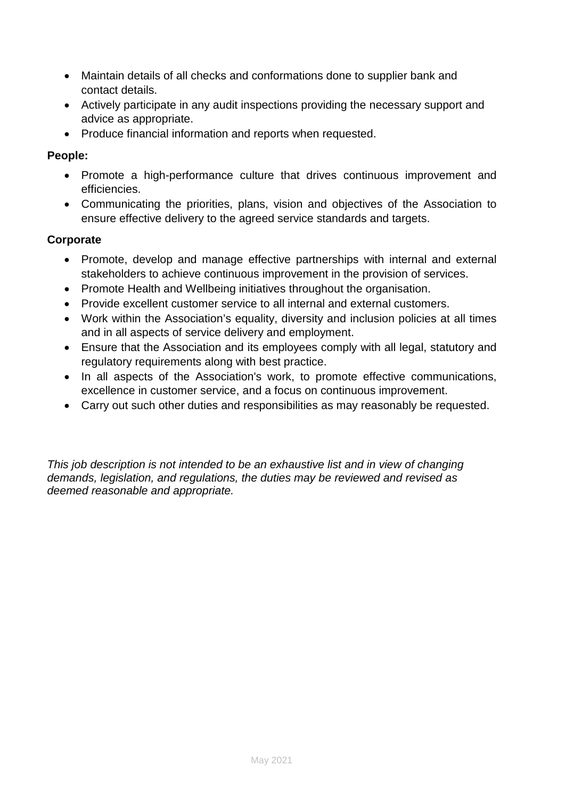- Maintain details of all checks and conformations done to supplier bank and contact details.
- Actively participate in any audit inspections providing the necessary support and advice as appropriate.
- Produce financial information and reports when requested.

## **People:**

- Promote a high-performance culture that drives continuous improvement and efficiencies.
- Communicating the priorities, plans, vision and objectives of the Association to ensure effective delivery to the agreed service standards and targets.

## **Corporate**

- Promote, develop and manage effective partnerships with internal and external stakeholders to achieve continuous improvement in the provision of services.
- Promote Health and Wellbeing initiatives throughout the organisation.
- Provide excellent customer service to all internal and external customers.
- Work within the Association's equality, diversity and inclusion policies at all times and in all aspects of service delivery and employment.
- Ensure that the Association and its employees comply with all legal, statutory and regulatory requirements along with best practice.
- In all aspects of the Association's work, to promote effective communications, excellence in customer service, and a focus on continuous improvement.
- Carry out such other duties and responsibilities as may reasonably be requested.

*This job description is not intended to be an exhaustive list and in view of changing demands, legislation, and regulations, the duties may be reviewed and revised as deemed reasonable and appropriate.*